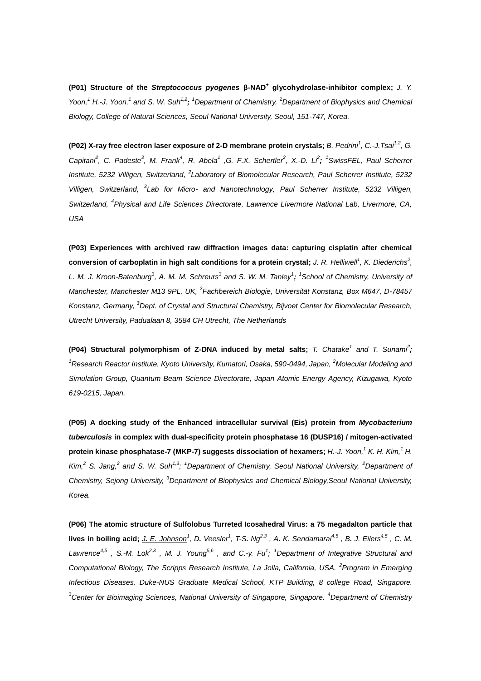**(P01) Structure of the** *Streptococcus pyogenes* **β-NAD<sup>+</sup> glycohydrolase-inhibitor complex;** *J. Y. Yoon,<sup>1</sup> H.-J. Yoon,<sup>1</sup> and S. W. Suh1,2; <sup>1</sup>Department of Chemistry,* <sup>2</sup>*Department of Biophysics and Chemical Biology, College of Natural Sciences, Seoul National University, Seoul, 151-747, Korea.*

**(P02) X-ray free electron laser exposure of 2-D membrane protein crystals;** *B. Pedrini<sup>1</sup> , C.-J.Tsai1,2, G.* Capitant<sup>2</sup>, C. Padeste<sup>3</sup>, M. Frank<sup>4</sup>, R. Abela<sup>1</sup>, G. F.X. Schertler<sup>2</sup>, X.-D. Li<sup>2</sup>; <sup>1</sup>SwissFEL, Paul Scherrer *Institute, 5232 Villigen, Switzerland, 2 Laboratory of Biomolecular Research, Paul Scherrer Institute, 5232 Villigen, Switzerland, 3 Lab for Micro- and Nanotechnology, Paul Scherrer Institute, 5232 Villigen, Switzerland, 4 Physical and Life Sciences Directorate, Lawrence Livermore National Lab, Livermore, CA, USA*

**(P03) Experiences with archived raw diffraction images data: capturing cisplatin after chemical conversion of carboplatin in high salt conditions for a protein crystal;** *[J. R. Helliwell](http://scripts.iucr.org/cgi-bin/citedin?search_on=name&author_name=Helliwell,%20J.R.)<sup>1</sup> , K. Diederichs<sup>2</sup> ,*  [L. M. J. Kroon-Batenburg](http://scripts.iucr.org/cgi-bin/citedin?search_on=name&author_name=Kroon-Batenburg,%20L.M.J.)<sup>3</sup>, [A. M. M. Schreurs](http://scripts.iucr.org/cgi-bin/citedin?search_on=name&author_name=Schreurs,%20A.M.M.)<sup>3</sup> and [S. W. M. Tanley](http://scripts.iucr.org/cgi-bin/citedin?search_on=name&author_name=Tanley,%20S.W.M.)<sup>1</sup>; <sup>1</sup> School of Chemistry, University of *Manchester, Manchester M13 9PL, UK, 2 Fachbereich Biologie, Universität Konstanz, Box M647, D-78457 Konstanz, Germany, <sup>3</sup>Dept. of Crystal and Structural Chemistry, Bijvoet Center for Biomolecular Research, Utrecht University, Padualaan 8, 3584 CH Utrecht, The Netherlands*

**(P04) Structural polymorphism of Z-DNA induced by metal salts;** *T. Chatake<sup>1</sup> and T. Sunami<sup>2</sup> ;* <sup>1</sup>*Research Reactor Institute, Kyoto University, Kumatori, Osaka, 590-0494, Japan, <sup>2</sup>Molecular Modeling and Simulation Group, Quantum Beam Science Directorate, Japan Atomic Energy Agency, Kizugawa, Kyoto 619-0215, Japan.*

**(P05) A docking study of the Enhanced intracellular survival (Eis) protein from** *Mycobacterium tuberculosis* **in complex with dual-specificity protein phosphatase 16 (DUSP16) / mitogen-activated protein kinase phosphatase-7 (MKP-7) suggests dissociation of hexamers;** *H.-J. Yoon,<sup>1</sup> K. H. Kim,<sup>1</sup> H. Kim,<sup>2</sup> S. Jang,<sup>2</sup> and S. W. Suh1,3; <sup>1</sup>Department of Chemistry, Seoul National University, <sup>2</sup>Department of Chemistry, Sejong University, <sup>3</sup>Department of Biophysics and Chemical Biology,Seoul National University, Korea.*

**(P06) The atomic structure of Sulfolobus Turreted Icosahedral Virus: a 75 megadalton particle that**  lives in boiling acid; <u>J. E. Johnson</u><sup>1</sup>, D. Veesler<sup>1</sup>, T-S. Ng<sup>2,3</sup>, A. K. Sendamarai<sup>4,5</sup>, B. J. Eilers<sup>4,5</sup>, C. M. *Lawrence4,5 , S.-M. Lok2,3 , M. J. Young5,6 , and C.-y. Fu<sup>1</sup> ; <sup>1</sup>Department of Integrative Structural and Computational Biology, The Scripps Research Institute, La Jolla, California, USA. <sup>2</sup> Program in Emerging Infectious Diseases, Duke-NUS Graduate Medical School, KTP Building, 8 college Road, Singapore. <sup>3</sup>Center for Bioimaging Sciences, National University of Singapore, Singapore. <sup>4</sup>Department of Chemistry*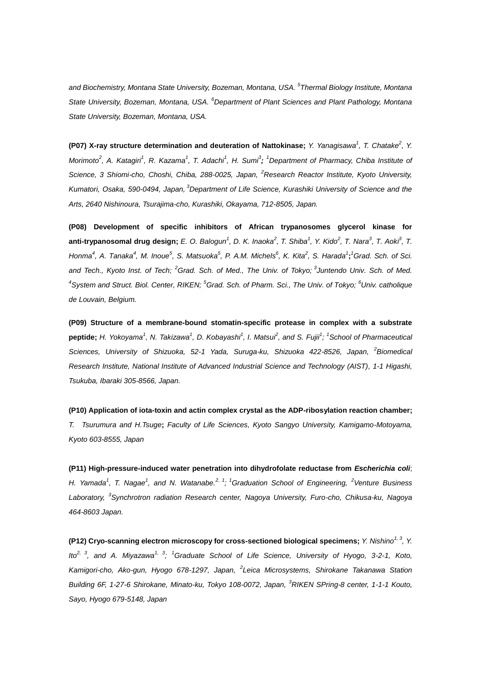*and Biochemistry, Montana State University, Bozeman, Montana, USA. <sup>5</sup> Thermal Biology Institute, Montana State University, Bozeman, Montana, USA. <sup>6</sup>Department of Plant Sciences and Plant Pathology, Montana State University, Bozeman, Montana, USA.*

**(P07) X-ray structure determination and deuteration of Nattokinase;** *Y. Yanagisawa<sup>1</sup> , T. Chatake<sup>2</sup> , Y. Morimoto*<sup>2</sup>, A. Katagiri<sup>1</sup>, R. Kazama<sup>1</sup>, T. Adachi<sup>1</sup>, H. Sumi<sup>3</sup>; <sup>1</sup> Department of Pharmacy, Chiba Institute of *Science, 3 Shiomi-cho, Choshi, Chiba, 288-0025, Japan, <sup>2</sup>Research Reactor Institute, Kyoto University, Kumatori, Osaka, 590-0494, Japan, <sup>3</sup>Department of Life Science, Kurashiki University of Science and the Arts, 2640 Nishinoura, Tsurajima-cho, Kurashiki, Okayama, 712-8505, Japan.*

**(P08) Development of specific inhibitors of African trypanosomes glycerol kinase for**  anti-trypanosomal drug design; E. O. Balogun<sup>1</sup>, D. K. Inaoka<sup>2</sup>, T. Shiba<sup>1</sup>, Y. Kido<sup>2</sup>, T. Nara<sup>3</sup>, T. Aoki<sup>3</sup>, T. Honma<sup>4</sup>, A. Tanaka<sup>4</sup>, M. Inoue<sup>5</sup>, S. Matsuoka<sup>5</sup>, P. A.M. Michels<sup>6</sup>, K. Kita<sup>2</sup>, S. Harada<sup>1</sup>;<sup>1</sup>Grad. Sch. of Sci. *and Tech., Kyoto Inst. of Tech; <sup>2</sup>Grad. Sch. of Med., The Univ. of Tokyo; <sup>3</sup> Juntendo Univ. Sch. of Med. 4 System and Struct. Biol. Center, RIKEN; <sup>5</sup>Grad. Sch. of Pharm. Sci., The Univ. of Tokyo; <sup>6</sup>Univ. catholique de Louvain, Belgium.* 

**(P09) Structure of a membrane-bound stomatin-specific protease in complex with a substrate**  peptide; H. Yokoyama<sup>1</sup>, N. Takizawa<sup>1</sup>, D. Kobayashi<sup>1</sup>, I. Matsur<sup>2</sup>, and S. Fujii<sup>1</sup>; <sup>1</sup>School of Pharmaceutical Sciences, University of Shizuoka, 52-1 Yada, Suruga-ku, Shizuoka 422-8526, Japan, <sup>2</sup> Biomedical *Research Institute, National Institute of Advanced Industrial Science and Technology (AIST), 1-1 Higashi, Tsukuba, Ibaraki 305-8566, Japan.*

**(P10) Application of iota-toxin and actin complex crystal as the ADP-ribosylation reaction chamber;**  *T. Tsurumura and H.Tsuge***;** *Faculty of Life Sciences, Kyoto Sangyo University, Kamigamo-Motoyama, Kyoto 603-8555, Japan*

**(P11) High-pressure-induced water penetration into dihydrofolate reductase from** *Escherichia coli*; *H.* Yamada<sup>1</sup>, T. Nagae<sup>1</sup>, and N. Watanabe.<sup>2, 1</sup>; <sup>1</sup>Graduation School of Engineering, <sup>2</sup>Venture Business *Laboratory, <sup>3</sup> Synchrotron radiation Research center, Nagoya University, Furo-cho, Chikusa-ku, Nagoya 464-8603 Japan.*

**(P12) Cryo-scanning electron microscopy for cross-sectioned biological specimens;** *Y. Nishino1, 3, Y. Ito2, 3, and A. Miyazawa1, 3; <sup>1</sup>Graduate School of Life Science, University of Hyogo, 3-2-1, Koto, Kamigori-cho, Ako-gun, Hyogo 678-1297, Japan, <sup>2</sup> Leica Microsystems, Shirokane Takanawa Station Building 6F, 1-27-6 Shirokane, Minato-ku, Tokyo 108-0072, Japan, <sup>3</sup>RIKEN SPring-8 center, 1-1-1 Kouto, Sayo, Hyogo 679-5148, Japan*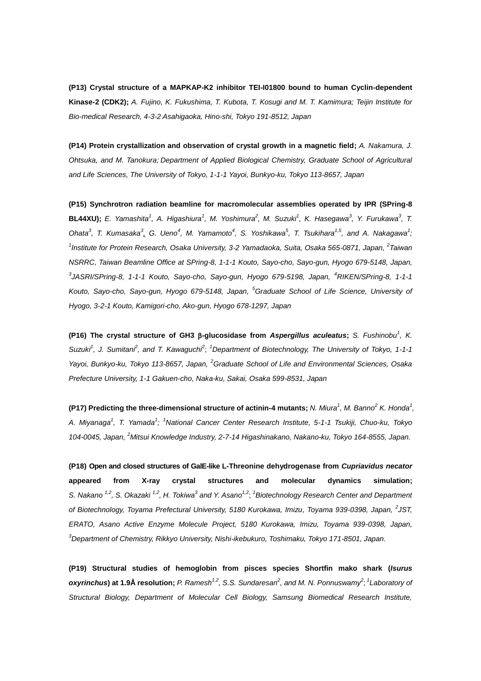**(P13) Crystal structure of a MAPKAP-K2 inhibitor TEI-I01800 bound to human Cyclin-dependent Kinase-2 (CDK2);** *A. Fujino, K. Fukushima, T. Kubota, T. Kosugi and M. T. Kamimura; Teijin Institute for Bio-medical Research, 4-3-2 Asahigaoka, Hino-shi, Tokyo 191-8512, Japan*

**(P14) Protein crystallization and observation of crystal growth in a magnetic field;** *A. Nakamura, J. Ohtsuka, and M. Tanokura; Department of Applied Biological Chemistry, Graduate School of Agricultural and Life Sciences, The University of Tokyo, 1-1-1 Yayoi, Bunkyo-ku, Tokyo 113-8657, Japan*

**(P15) Synchrotron radiation beamline for macromolecular assemblies operated by IPR (SPring-8 BL44XU);** E. Yamashita<sup>1</sup>, A. Higashiura<sup>1</sup>, M. Yoshimura<sup>2</sup>, M. Suzuki<sup>1</sup>, K. Hasegawa<sup>3</sup>, Y. Furukawa<sup>3</sup>, T. Ohata<sup>3</sup>, T. Kumasaka<sup>3</sup>, G. Ueno<sup>4</sup>, M. Yamamoto<sup>4</sup>, S. Yoshikawa<sup>5</sup>, T. Tsukihara<sup>1,5</sup>, and A. Nakagawa<sup>1</sup>; <sup>1</sup> Institute for Protein Research, Osaka University, 3-2 Yamadaoka, Suita, Osaka 565-0871, Japan, <sup>2</sup> Taiwan *NSRRC, Taiwan Beamline Office at SPring-8, 1-1-1 Kouto, Sayo-cho, Sayo-gun, Hyogo 679-5148, Japan,*  <sup>3</sup>JASRI/SPring-8, 1-1-1 Kouto, Sayo-cho, Sayo-gun, Hyogo 679-5198, Japan, <sup>4</sup>RIKEN/SPring-8, 1-1-1 *Kouto, Sayo-cho, Sayo-gun, Hyogo 679-5148, Japan, <sup>5</sup>Graduate School of Life Science, University of Hyogo, 3-2-1 Kouto, Kamigori-cho, Ako-gun, Hyogo 678-1297, Japan*

**(P16) The crystal structure of GH3 -glucosidase from** *Aspergillus aculeatus***;** *S. Fushinobu<sup>1</sup> , K.*  Suzuki<sup>1</sup>, J. Sumitani<sup>2</sup>, and T. Kawaguchi<sup>2</sup>; <sup>1</sup>Department of Biotechnology, The University of Tokyo, 1-1-1 *Yayoi, Bunkyo-ku, Tokyo 113-8657, Japan, <sup>2</sup>Graduate School of Life and Environmental Sciences, Osaka Prefecture University, 1-1 Gakuen-cho, Naka-ku, Sakai, Osaka 599-8531, Japan*

**(P17) Predicting the three-dimensional structure of actinin-4 mutants;** *N. Miura<sup>1</sup> , M. Banno<sup>2</sup> K. Honda<sup>1</sup> , A. Miyanaga<sup>1</sup> , T. Yamada<sup>1</sup> ; <sup>1</sup>National Cancer Center Research Institute, 5-1-1 Tsukiji, Chuo-ku, Tokyo 104-0045, Japan, <sup>2</sup>Mitsui Knowledge Industry, 2-7-14 Higashinakano, Nakano-ku, Tokyo 164-8555, Japan.*

**(P18) Open and closed structures of GalE-like L-Threonine dehydrogenase from** *Cupriavidus necator* **appeared from X-ray crystal structures and molecular dynamics simulation;**  S. Nakano<sup>1,2</sup>, S. Okazaki<sup>1,2</sup>, H. Tokiwa<sup>3</sup> and Y. Asano<sup>1,2</sup>; <sup>1</sup> Biotechnology Research Center and Department of Biotechnology, Toyama Prefectural University, 5180 Kurokawa, Imizu, Toyama 939-0398, Japan, <sup>2</sup>JST, *ERATO, Asano Active Enzyme Molecule Project, 5180 Kurokawa, Imizu, Toyama 939-0398, Japan, <sup>3</sup>Department of Chemistry, Rikkyo University, Nishi-ikebukuro, Toshimaku, Tokyo 171-8501, Japan.*

**(P19) Structural studies of hemoglobin from pisces species Shortfin mako shark (***Isurus oxyrinchus*) at 1.9Å resolution; P. Ramesh<sup>1,2</sup>, S.S. Sundaresan<sup>2</sup>, and M. N. Ponnuswamy<sup>2</sup>; <sup>1</sup> Laboratory of *Structural Biology, Department of Molecular Cell Biology, Samsung Biomedical Research Institute,*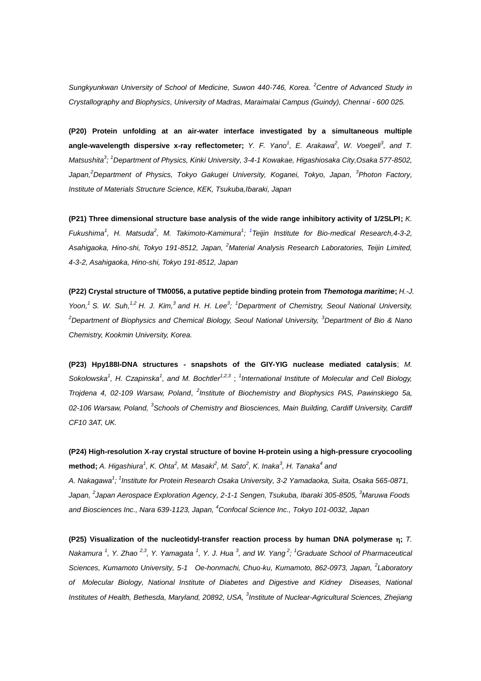*Sungkyunkwan University of School of Medicine, Suwon 440-746, Korea. <sup>2</sup>Centre of Advanced Study in Crystallography and Biophysics, University of Madras, Maraimalai Campus (Guindy), Chennai - 600 025.*

**(P20) Protein unfolding at an air-water interface investigated by a simultaneous multiple angle-wavelength dispersive x-ray reflectometer;** *Y. F. Yano<sup>1</sup>, E. Arakawa<sup>2</sup>, W. Voegeli<sup>3</sup>, and T. Matsushita<sup>3</sup> ; <sup>1</sup>Department of Physics, Kinki University, 3-4-1 Kowakae, Higashiosaka City,Osaka 577-8502,*  Japan,<sup>2</sup>Department of Physics, Tokyo Gakugei University, Koganei, Tokyo, Japan, <sup>3</sup>Photon Factory, *Institute of Materials Structure Science, KEK, Tsukuba,Ibaraki, Japan*

**(P21) Three dimensional structure base analysis of the wide range inhibitory activity of 1/2SLPI;** *K. Fukushima<sup>1</sup> , H. Matsuda<sup>2</sup> , M. Takimoto-Kamimura<sup>1</sup> ; 1 Teijin Institute for Bio-medical Research,4-3-2, Asahigaoka, Hino-shi, Tokyo 191-8512, Japan, <sup>2</sup>Material Analysis Research Laboratories, Teijin Limited, 4-3-2, Asahigaoka, Hino-shi, Tokyo 191-8512, Japan*

**(P22) Crystal structure of TM0056, a putative peptide binding protein from** *Themotoga maritime***;** *H.-J. Yoon,<sup>1</sup>S. W. Suh,1,2 H. J. Kim,<sup>3</sup>and H. H. Lee<sup>3</sup> ; <sup>1</sup>Department of Chemistry, Seoul National University, <sup>2</sup>Department of Biophysics and Chemical Biology, Seoul National University, <sup>3</sup>Department of Bio & Nano Chemistry, Kookmin University, Korea.*

**(P23) Hpy188I-DNA structures - snapshots of the GIY-YIG nuclease mediated catalysis**; *M. Sokolowska<sup>1</sup> , H. Czapinska<sup>1</sup> , and M. Bochtler1,2,3* ; *1 International Institute of Molecular and Cell Biology, Trojdena 4, 02-109 Warsaw, Poland, <sup>2</sup> Institute of Biochemistry and Biophysics PAS, Pawinskiego 5a,* 02-106 Warsaw, Poland, <sup>3</sup> Schools of Chemistry and Biosciences, Main Building, Cardiff University, Cardiff *CF10 3AT, UK.*

**(P24) High-resolution X-ray crystal structure of bovine H-protein using a high-pressure cryocooling**   $m$ ethod; A. Higashiura<sup>1</sup>, K. Ohta<sup>2</sup>, M. Masaki<sup>2</sup>, M. Sato<sup>2</sup>, K. Inaka<sup>3</sup>, H. Tanaka<sup>4</sup> and *A. Nakagawa<sup>1</sup> ; 1 Institute for Protein Research Osaka University, 3-2 Yamadaoka, Suita, Osaka 565-0871, Japan, <sup>2</sup> Japan Aerospace Exploration Agency, 2-1-1 Sengen, Tsukuba, Ibaraki 305-8505, <sup>3</sup>Maruwa Foods and Biosciences Inc., Nara 639-1123, Japan, <sup>4</sup>Confocal Science Inc., Tokyo 101-0032, Japan*

**(P25) Visualization of the nucleotidyl-transfer reaction process by human DNA polymerase ;** *T. Nakamura*<sup>1</sup>, Y. Zhao<sup>2,3</sup>, Y. Yamagata<sup>1</sup>, Y. J. Hua<sup>3</sup>, and W. Yang<sup>2</sup>; <sup>1</sup>Graduate School of Pharmaceutical *Sciences, Kumamoto University, 5-1 Oe-honmachi, Chuo-ku, Kumamoto, 862-0973, Japan, <sup>2</sup> Laboratory of Molecular Biology, National Institute of Diabetes and Digestive and Kidney Diseases, National*  Institutes of Health, Bethesda, Maryland, 20892, USA, <sup>3</sup>Institute of Nuclear-Agricultural Sciences, Zhejiang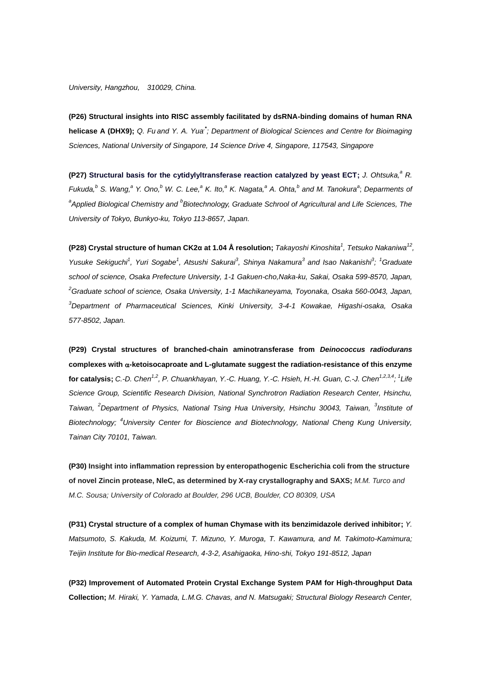## *University, Hangzhou, 310029, China.*

**(P26) Structural insights into RISC assembly facilitated by dsRNA-binding domains of human RNA helicase A (DHX9);** *Q. Fu and Y. A. Yua,***\*** *; Department of Biological Sciences and Centre for Bioimaging Sciences, National University of Singapore, 14 Science Drive 4, Singapore, 117543, Singapore*

**(P27) Structural basis for the cytidylyltransferase reaction catalyzed by yeast ECT;** *J. Ohtsuka,<sup>a</sup> R.* Fukuda,<sup>b</sup> S. Wang,<sup>a</sup> Y. Ono,<sup>b</sup> W. C. Lee,<sup>a</sup> K. Ito,<sup>a</sup> K. Nagata,<sup>a</sup> A. Ohta,<sup>b</sup> and M. Tanokura<sup>a</sup>; Deparments of *a Applied Biological Chemistry and <sup>b</sup> Biotechnology, Graduate Schrool of Agricultural and Life Sciences, The University of Tokyo, Bunkyo-ku, Tokyo 113-8657, Japan.*

**(P28) Crystal structure of human CK2α at 1.04 Å resolution;** *Takayoshi Kinoshita<sup>1</sup> , Tetsuko Nakaniwa<sup>12</sup> , Yusuke Sekiguchi<sup>1</sup> , Yuri Sogabe<sup>1</sup> , Atsushi Sakurai<sup>3</sup> , Shinya Nakamura<sup>3</sup> and Isao Nakanishi<sup>3</sup> ; <sup>1</sup>Graduate school of science, Osaka Prefecture University, 1-1 Gakuen-cho,Naka-ku, Sakai, Osaka 599-8570, Japan, <sup>2</sup>Graduate school of science, Osaka University, 1-1 Machikaneyama, Toyonaka, Osaka 560-0043, Japan, <sup>3</sup>Department of Pharmaceutical Sciences, Kinki University, 3-4-1 Kowakae, Higashi-osaka, Osaka 577-8502, Japan.*

**(P29) Crystal structures of branched-chain aminotransferase from** *Deinococcus radiodurans* **complexes with -ketoisocaproate and L-glutamate suggest the radiation-resistance of this enzyme for catalysis;** *C.-D. Chen1,2, P. Chuankhayan, Y.-C. Huang, Y.-C. Hsieh, H.-H. Guan, C.-J. Chen1,2,3,4; <sup>1</sup> Life Science Group, Scientific Research Division, National Synchrotron Radiation Research Center, Hsinchu, Taiwan, <sup>2</sup>Department of Physics, National Tsing Hua University, Hsinchu 30043, Taiwan, <sup>3</sup> Institute of Biotechnology; <sup>4</sup>University Center for Bioscience and Biotechnology, National Cheng Kung University, Tainan City 70101, Taiwan.*

**(P30) Insight into inflammation repression by enteropathogenic Escherichia coli from the structure of novel Zincin protease, NleC, as determined by X-ray crystallography and SAXS;** *M.M. Turco and M.C. Sousa; University of Colorado at Boulder, 296 UCB, Boulder, CO 80309, USA*

**(P31) Crystal structure of a complex of human Chymase with its benzimidazole derived inhibitor;** *Y. Matsumoto, S. Kakuda, M. Koizumi, T. Mizuno, Y. Muroga, T. Kawamura, and M. Takimoto-Kamimura; Teijin Institute for Bio-medical Research, 4-3-2, Asahigaoka, Hino-shi, Tokyo 191-8512, Japan*

**(P32) Improvement of Automated Protein Crystal Exchange System PAM for High-throughput Data Collection;** *M. Hiraki, Y. Yamada, L.M.G. Chavas, and N. Matsugaki; Structural Biology Research Center,*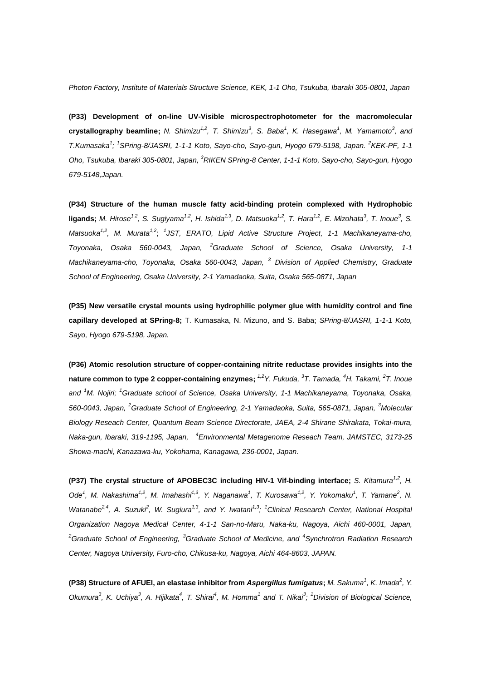*Photon Factory, Institute of Materials Structure Science, KEK, 1-1 Oho, Tsukuba, Ibaraki 305-0801, Japan*

**(P33) Development of on-line UV-Visible microspectrophotometer for the macromolecular**  crystallography beamline; N. Shimizu<sup>1,2</sup>, T. Shimizu<sup>3</sup>, S. Baba<sup>1</sup>, K. Hasegawa<sup>1</sup>, M. Yamamoto<sup>3</sup>, and *T.Kumasaka<sup>1</sup> ; 1 SPring-8/JASRI, 1-1-1 Koto, Sayo-cho, Sayo-gun, Hyogo 679-5198, Japan. <sup>2</sup> KEK-PF, 1-1 Oho, Tsukuba, Ibaraki 305-0801, Japan, <sup>3</sup>RIKEN SPring-8 Center, 1-1-1 Koto, Sayo-cho, Sayo-gun, Hyogo 679-5148,Japan.*

**(P34) Structure of the human muscle fatty acid-binding protein complexed with Hydrophobic**  ligands; M. Hirose<sup>1,2</sup>, S. Sugiyama<sup>1,2</sup>, H. Ishida<sup>1,3</sup>, D. Matsuoka<sup>1,2</sup>, T. Hara<sup>1,2</sup>, E. Mizohata<sup>3</sup>, T. Inoue<sup>3</sup>, S. *Matsuoka1,2, M. Murata1,2* ; *<sup>1</sup> JST, ERATO, Lipid Active Structure Project, 1-1 Machikaneyama-cho, Toyonaka, Osaka 560-0043, Japan, <sup>2</sup>Graduate School of Science, Osaka University, 1-1 Machikaneyama-cho, Toyonaka, Osaka 560-0043, Japan, <sup>3</sup> Division of Applied Chemistry, Graduate School of Engineering, Osaka University, 2-1 Yamadaoka, Suita, Osaka 565-0871, Japan*

**(P35) New versatile crystal mounts using hydrophilic polymer glue with humidity control and fine capillary developed at SPring-8;** T. Kumasaka, N. Mizuno, and S. Baba; *SPring-8/JASRI, 1-1-1 Koto, Sayo, Hyogo 679-5198, Japan.*

**(P36) Atomic resolution structure of copper-containing nitrite reductase provides insights into the nature common to type 2 copper-containing enzymes;** *1,2Y. Fukuda, <sup>3</sup> T. Tamada, <sup>4</sup>H. Takami, <sup>2</sup> T. Inoue and <sup>1</sup>M. Nojiri; <sup>1</sup>Graduate school of Science, Osaka University, 1-1 Machikaneyama, Toyonaka, Osaka, 560-0043, Japan, <sup>2</sup>Graduate School of Engineering, 2-1 Yamadaoka, Suita, 565-0871, Japan, <sup>3</sup>Molecular Biology Reseach Center, Quantum Beam Science Directorate, JAEA, 2-4 Shirane Shirakata, Tokai-mura, Naka-gun, Ibaraki, 319-1195, Japan, 4 Environmental Metagenome Reseach Team, JAMSTEC, 3173-25 Showa-machi, Kanazawa-ku, Yokohama, Kanagawa, 236-0001, Japan.*

**(P37)** The crystal structure of APOBEC3C including HIV-1 Vif-binding interface; *S. Kitamura*<sup>1,2</sup>, *H. Ode<sup>1</sup> , M. Nakashima1,2, M. Imahashi1,3, Y. Naganawa<sup>1</sup> , T. Kurosawa1,2, Y. Yokomaku<sup>1</sup> , T. Yamane<sup>2</sup> , N.*  Watanabe<sup>2,4</sup>, A. Suzuki<sup>2</sup>, W. Sugiura<sup>1,3</sup>, and Y. Iwatani<sup>1,3</sup>; <sup>1</sup>Clinical Research Center, National Hospital *Organization Nagoya Medical Center, 4-1-1 San-no-Maru, Naka-ku, Nagoya, Aichi 460-0001, Japan, <sup>2</sup>Graduate School of Engineering, <sup>3</sup>Graduate School of Medicine, and <sup>4</sup> Synchrotron Radiation Research Center, Nagoya University, Furo-cho, Chikusa-ku, Nagoya, Aichi 464-8603, JAPAN.*

**(P38) Structure of AFUEI, an elastase inhibitor from** *Aspergillus fumigatus***;** *M. Sakuma<sup>1</sup> , K. Imada<sup>2</sup> , Y.* Okumura<sup>3</sup>, K. Uchiya<sup>3</sup>, A. Hijikata<sup>4</sup>, T. Shirai<sup>4</sup>, M. Homma<sup>1</sup> and T. Nikai<sup>3</sup>; <sup>1</sup>Division of Biological Science,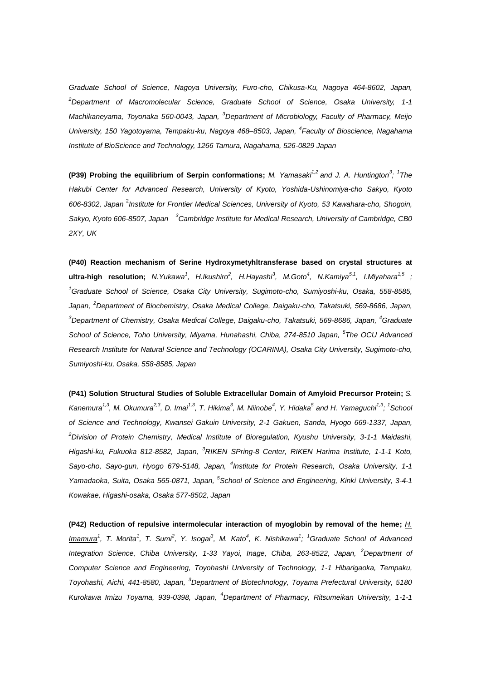*Graduate School of Science, Nagoya University, Furo-cho, Chikusa-Ku, Nagoya 464-8602, Japan, <sup>2</sup>Department of Macromolecular Science, Graduate School of Science, Osaka University, 1-1 Machikaneyama, Toyonaka 560-0043, Japan, <sup>3</sup>Department of Microbiology, Faculty of Pharmacy, Meijo University, 150 Yagotoyama, Tempaku-ku, Nagoya 468–8503, Japan, <sup>4</sup> Faculty of Bioscience, Nagahama Institute of BioScience and Technology, 1266 Tamura, Nagahama, 526-0829 Japan*

**(P39) Probing the equilibrium of Serpin conformations;** *M. Yamasaki1,2 and J. A. Huntington<sup>3</sup> ; 1 The Hakubi Center for Advanced Research, University of Kyoto, Yoshida-Ushinomiya-cho Sakyo, Kyoto 606-8302, Japan* <sup>2</sup> *Institute for Frontier Medical Sciences, University of Kyoto, 53 Kawahara-cho, Shogoin,*  Sakyo, Kyoto 606-8507, Japan <sup>3</sup>Cambridge Institute for Medical Research, University of Cambridge, CB0 *2XY, UK*

**(P40) Reaction mechanism of Serine Hydroxymetyhltransferase based on crystal structures at**  altra-high resolution; N.Yukawa<sup>1</sup>, H.Ikushiro<sup>2</sup>, H.Hayashi<sup>3</sup>, M.Goto<sup>4</sup>, N.Kamiya<sup>5,1</sup>, I.Miyahara<sup>1,5</sup> ; *<sup>1</sup>Graduate School of Science, Osaka City University, Sugimoto-cho, Sumiyoshi-ku, Osaka, 558-8585, Japan, <sup>2</sup>Department of Biochemistry, Osaka Medical College, Daigaku-cho, Takatsuki, 569-8686, Japan, <sup>3</sup>Department of Chemistry, Osaka Medical College, Daigaku-cho, Takatsuki, 569-8686, Japan, <sup>4</sup>Graduate School of Science, Toho University, Miyama, Hunahashi, Chiba, 274-8510 Japan, <sup>5</sup> The OCU Advanced Research Institute for Natural Science and Technology (OCARINA), Osaka City University, Sugimoto-cho, Sumiyoshi-ku, Osaka, 558-8585, Japan*

**(P41) Solution Structural Studies of Soluble Extracellular Domain of Amyloid Precursor Protein;** *S.*  Kanemura<sup>1,3</sup>, M. Okumura<sup>2,3</sup>, D. Imai<sup>1,3</sup>, T. Hikima<sup>3</sup>, M. Niinobe<sup>4</sup>, Y. Hidaka<sup>5</sup> and H. Yamaguchi<sup>1,3</sup>; <sup>1</sup>School *of Science and Technology, Kwansei Gakuin University, 2-1 Gakuen, Sanda, Hyogo 669-1337, Japan, <sup>2</sup>Division of Protein Chemistry, Medical Institute of Bioregulation, Kyushu University, 3-1-1 Maidashi, Higashi-ku, Fukuoka 812-8582, Japan, <sup>3</sup>RIKEN SPring-8 Center, RIKEN Harima Institute, 1-1-1 Koto,*  Sayo-cho, Sayo-gun, Hyogo 679-5148, Japan, <sup>4</sup>Institute for Protein Research, Osaka University, 1-1 *Yamadaoka, Suita, Osaka 565-0871, Japan, <sup>5</sup> School of Science and Engineering, Kinki University, 3-4-1 Kowakae, Higashi-osaka, Osaka 577-8502, Japan*

**(P42) Reduction of repulsive intermolecular interaction of myoglobin by removal of the heme;** *H. Imamura<sup>1</sup> , T. Morita<sup>1</sup> , T. Sumi<sup>2</sup> , Y. Isogai<sup>3</sup> , M. Kato<sup>4</sup> , K. Nishikawa<sup>1</sup> ; <sup>1</sup>Graduate School of Advanced Integration Science, Chiba University, 1-33 Yayoi, Inage, Chiba, 263-8522, Japan, <sup>2</sup>Department of Computer Science and Engineering, Toyohashi University of Technology, 1-1 Hibarigaoka, Tempaku, Toyohashi, Aichi, 441-8580, Japan, <sup>3</sup>Department of Biotechnology, Toyama Prefectural University, 5180 Kurokawa Imizu Toyama, 939-0398, Japan, <sup>4</sup>Department of Pharmacy, Ritsumeikan University, 1-1-1*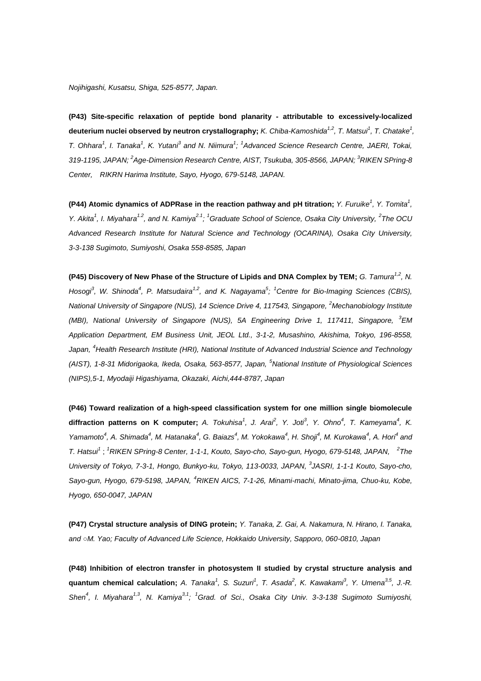**(P43) Site-specific relaxation of peptide bond planarity - attributable to excessively-localized deuterium nuclei observed by neutron crystallography;** *K. Chiba-Kamoshida1,2, T. Matsui<sup>1</sup> , T. Chatake<sup>1</sup> , T. Ohhara<sup>1</sup> , I. Tanaka<sup>1</sup> , K. Yutani<sup>3</sup> and N. Niimura<sup>1</sup> ; 1 Advanced Science Research Centre, JAERI, Tokai, 319-1195, JAPAN; <sup>2</sup> Age-Dimension Research Centre, AIST, Tsukuba, 305-8566, JAPAN; <sup>3</sup>RIKEN SPring-8 Center, RIKRN Harima Institute, Sayo, Hyogo, 679-5148, JAPAN.*

**(P44) Atomic dynamics of ADPRase in the reaction pathway and pH titration;** *Y. Furuike<sup>1</sup> , Y. Tomita<sup>1</sup> , Y. Akita<sup>1</sup> , I. Miyahara1.2, and N. Kamiya2.1; <sup>1</sup>Graduate School of Science, Osaka City University, <sup>2</sup> The OCU Advanced Research Institute for Natural Science and Technology (OCARINA), Osaka City University, 3-3-138 Sugimoto, Sumiyoshi, Osaka 558-8585, Japan*

**(P45)** Discovery of New Phase of the Structure of Lipids and DNA Complex by TEM; *G. Tamura*<sup>1,2</sup>, N. *Hosogi<sup>3</sup> , W. Shinoda<sup>4</sup> , P. Matsudaira1,2, and K. Nagayama<sup>5</sup> ; <sup>1</sup>Centre for Bio-Imaging Sciences (CBIS), National University of Singapore (NUS), 14 Science Drive 4, 117543, Singapore, <sup>2</sup>Mechanobiology Institute (MBI), National University of Singapore (NUS), 5A Engineering Drive 1, 117411, Singapore, <sup>3</sup>EM Application Department, EM Business Unit, JEOL Ltd., 3-1-2, Musashino, Akishima, Tokyo, 196-8558, Japan, <sup>4</sup>Health Research Institute (HRI), National Institute of Advanced Industrial Science and Technology (AIST), 1-8-31 Midorigaoka, Ikeda, Osaka, 563-8577, Japan, <sup>5</sup>National Institute of Physiological Sciences (NIPS),5-1, Myodaiji Higashiyama, Okazaki, Aichi,444-8787, Japan*

**(P46) Toward realization of a high-speed classification system for one million single biomolecule**  diffraction patterns on K computer; A. Tokuhisa<sup>1</sup>, J. Arai<sup>2</sup>, Y. Joti<sup>3</sup>, Y. Ohno<sup>4</sup>, T. Kameyama<sup>4</sup>, K. Yamamoto<sup>4</sup>, A. Shimada<sup>4</sup>, M. Hatanaka<sup>4</sup>, G. Baiazs<sup>4</sup>, M. Yokokawa<sup>4</sup>, H. Shoji<sup>4</sup>, M. Kurokawa<sup>4</sup>, A. Hori<sup>4</sup> and *T. Hatsui<sup>1</sup>* ; *<sup>1</sup>RIKEN SPring-8 Center, 1-1-1, Kouto, Sayo-cho, Sayo-gun, Hyogo, 679-5148, JAPAN, 2 The University of Tokyo, 7-3-1, Hongo, Bunkyo-ku, Tokyo, 113-0033, JAPAN, 3 JASRI, 1-1-1 Kouto, Sayo-cho, Sayo-gun, Hyogo, 679-5198, JAPAN, <sup>4</sup>RIKEN AICS, 7-1-26, Minami-machi, Minato-jima, Chuo-ku, Kobe, Hyogo, 650-0047, JAPAN*

**(P47) Crystal structure analysis of DING protein;** *Y. Tanaka, Z. Gai, A. Nakamura, N. Hirano, I. Tanaka, and ○M. Yao; Faculty of Advanced Life Science, Hokkaido University, Sapporo, 060-0810, Japan*

**(P48) Inhibition of electron transfer in photosystem II studied by crystal structure analysis and quantum chemical calculation;** *A. Tanaka<sup>1</sup> , S. Suzuri<sup>1</sup> , T. Asada<sup>2</sup> , K. Kawakami<sup>3</sup> , Y. Umena3,5, J.-R. Shen<sup>4</sup> , I. Miyahara1,3, N. Kamiya3,1; <sup>1</sup>Grad. of Sci., Osaka City Univ. 3-3-138 Sugimoto Sumiyoshi,*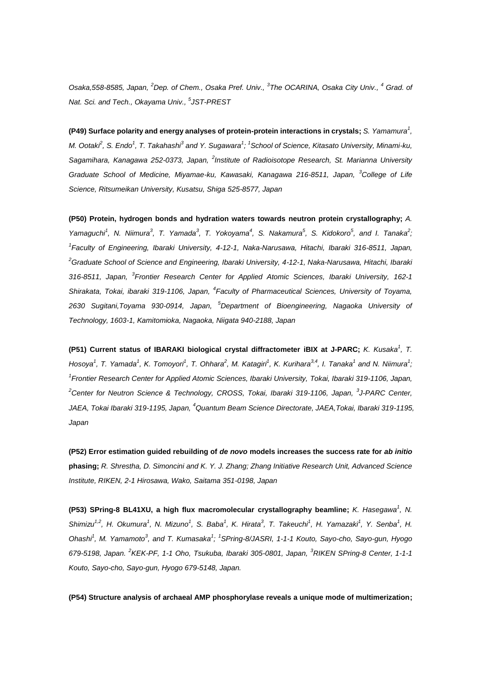*Osaka,558-8585, Japan, <sup>2</sup>Dep. of Chem., Osaka Pref. Univ., <sup>3</sup> The OCARINA, Osaka City Univ., <sup>4</sup> Grad. of Nat. Sci. and Tech., Okayama Univ., <sup>5</sup> JST-PREST*

**(P49) Surface polarity and energy analyses of protein-protein interactions in crystals;** *S. Yamamura<sup>1</sup> , M. Ootaki<sup>2</sup> , S. Endo<sup>1</sup> , T. Takahashi<sup>3</sup> and Y. Sugawara<sup>1</sup> ; 1 School of Science, Kitasato University, Minami-ku, Sagamihara, Kanagawa 252-0373, Japan, <sup>2</sup> Institute of Radioisotope Research, St. Marianna University Graduate School of Medicine, Miyamae-ku, Kawasaki, Kanagawa 216-8511, Japan, <sup>3</sup>College of Life Science, Ritsumeikan University, Kusatsu, Shiga 525-8577, Japan*

**(P50) Protein, hydrogen bonds and hydration waters towards neutron protein crystallography;** *A.*  Yamaguchi<sup>1</sup>, N. Niimura<sup>3</sup>, T. Yamada<sup>3</sup>, T. Yokoyama<sup>4</sup>, S. Nakamura<sup>5</sup>, S. Kidokoro<sup>5</sup>, and I. Tanaka<sup>2</sup>; *1 Faculty of Engineering, Ibaraki University, 4-12-1, Naka-Narusawa, Hitachi, Ibaraki 316-8511, Japan, <sup>2</sup>Graduate School of Science and Engineering, Ibaraki University, 4-12-1, Naka-Narusawa, Hitachi, Ibaraki 316-8511, Japan, <sup>3</sup> Frontier Research Center for Applied Atomic Sciences, Ibaraki University, 162-1 Shirakata, Tokai, ibaraki 319-1106, Japan, <sup>4</sup> Faculty of Pharmaceutical Sciences, University of Toyama, 2630 Sugitani,Toyama 930-0914, Japan, <sup>5</sup>Department of Bioengineering, Nagaoka University of Technology, 1603-1, Kamitomioka, Nagaoka, Niigata 940-2188, Japan*

**(P51) Current status of IBARAKI biological crystal diffractometer iBIX at J-PARC;** *K. Kusaka<sup>1</sup> , T.*  Hosoya<sup>1</sup>, T. Yamada<sup>1</sup>, K. Tomoyori<sup>1</sup>, T. Ohhara<sup>2</sup>, M. Katagiri<sup>1</sup>, K. Kurihara<sup>3,4</sup>, I. Tanaka<sup>1</sup> and N. Niimura<sup>1</sup>; *1 Frontier Research Center for Applied Atomic Sciences, Ibaraki University, Tokai, Ibaraki 319-1106, Japan, <sup>2</sup>Center for Neutron Science & Technology, CROSS, Tokai, Ibaraki 319-1106, Japan, <sup>3</sup> J-PARC Center, JAEA, Tokai Ibaraki 319-1195, Japan, <sup>4</sup>Quantum Beam Science Directorate, JAEA,Tokai, Ibaraki 319-1195, Japan*

**(P52) Error estimation guided rebuilding of** *de novo* **models increases the success rate for** *ab initio*  **phasing;** *R. Shrestha, D. Simoncini and K. Y. J. Zhang; Zhang Initiative Research Unit, Advanced Science Institute, RIKEN, 2-1 Hirosawa, Wako, Saitama 351-0198, Japan*

**(P53) SPring-8 BL41XU, a high flux macromolecular crystallography beamline;** *K. Hasegawa<sup>1</sup>***, N.** Shimizu<sup>1,2</sup>, H. Okumura<sup>1</sup>, N. Mizuno<sup>1</sup>, S. Baba<sup>1</sup>, K. Hirata<sup>3</sup>, T. Takeuchi<sup>1</sup>, H. Yamazaki<sup>1</sup>, Y. Senba<sup>1</sup>, H. *Ohashi<sup>1</sup> , M. Yamamoto<sup>3</sup> , and T. Kumasaka<sup>1</sup> ; 1 SPring-8/JASRI, 1-1-1 Kouto, Sayo-cho, Sayo-gun, Hyogo 679-5198, Japan. <sup>2</sup> KEK-PF, 1-1 Oho, Tsukuba, Ibaraki 305-0801, Japan, <sup>3</sup>RIKEN SPring-8 Center, 1-1-1 Kouto, Sayo-cho, Sayo-gun, Hyogo 679-5148, Japan.*

**(P54) Structure analysis of archaeal AMP phosphorylase reveals a unique mode of multimerization;**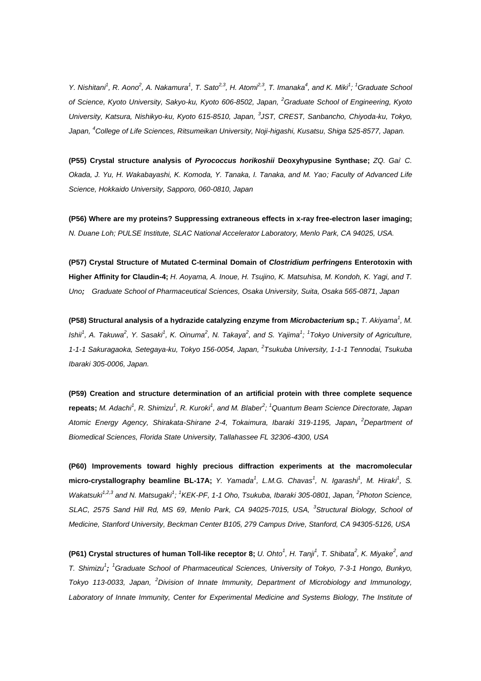Y. Nishitani<sup>1</sup>, R. Aono<sup>2</sup>, A. Nakamura<sup>1</sup>, T. Sato<sup>2,3</sup>, H. Atom<sup>2,3</sup>, T. Imanaka<sup>4</sup>, and K. Miki<sup>1</sup>; <sup>1</sup>Graduate School *of Science, Kyoto University, Sakyo-ku, Kyoto 606-8502, Japan, <sup>2</sup>Graduate School of Engineering, Kyoto*  University, Katsura, Nishikyo-ku, Kyoto 615-8510, Japan, <sup>3</sup>JST, CREST, Sanbancho, Chiyoda-ku, Tokyo, *Japan, <sup>4</sup>College of Life Sciences, Ritsumeikan University, Noji-higashi, Kusatsu, Shiga 525-8577, Japan.*

**(P55) Crystal structure analysis of** *Pyrococcus horikoshii* **Deoxyhypusine Synthase;** *ZQ. Gai, C. Okada, J. Yu, H. Wakabayashi, K. Komoda, Y. Tanaka, I. Tanaka, and M. Yao; Faculty of Advanced Life Science, Hokkaido University, Sapporo, 060-0810, Japan*

**(P56) Where are my proteins? Suppressing extraneous effects in x-ray free-electron laser imaging;**  *N. Duane Loh; PULSE Institute, SLAC National Accelerator Laboratory, Menlo Park, CA 94025, USA.*

**(P57) Crystal Structure of Mutated C-terminal Domain of** *Clostridium perfringens* **Enterotoxin with Higher Affinity for Claudin-4;** *H. Aoyama, A. Inoue, H. Tsujino, K. Matsuhisa, M. Kondoh, K. Yagi, and T. Uno; Graduate School of Pharmaceutical Sciences, Osaka University, Suita, Osaka 565-0871, Japan* 

**(P58) Structural analysis of a hydrazide catalyzing enzyme from** *Microbacterium* **sp.;** *T. Akiyama<sup>1</sup> , M.*  Ishii<sup>1</sup>, A. Takuwa<sup>2</sup>, Y. Sasaki<sup>1</sup>, K. Oinuma<sup>2</sup>, N. Takaya<sup>2</sup>, and S. Yajima<sup>1</sup>; <sup>1</sup>Tokyo University of Agriculture, *1-1-1 Sakuragaoka, Setegaya-ku, Tokyo 156-0054, Japan, <sup>2</sup> Tsukuba University, 1-1-1 Tennodai, Tsukuba Ibaraki 305-0006, Japan.*

**(P59) Creation and structure determination of an artificial protein with three complete sequence repeats;** *M. Adachi<sup>1</sup> , R. Shimizu<sup>1</sup> , R. Kuroki<sup>1</sup> , and M. Blaber<sup>2</sup> ; <sup>1</sup>Quantum Beam Science Directorate, Japan Atomic Energy Agency, Shirakata-Shirane 2-4, Tokaimura, Ibaraki 319-1195, Japan***,**  *<sup>2</sup>Department of Biomedical Sciences, Florida State University, Tallahassee FL 32306-4300, USA*

**(P60) Improvements toward highly precious diffraction experiments at the macromolecular**  micro-crystallography beamline BL-17A; Y. Yamada<sup>1</sup>, L.M.G. Chavas<sup>1</sup>, N. Igarashi<sup>1</sup>, M. Hiraki<sup>1</sup>, S. Wakatsuki<sup>1,2,3</sup> and N. Matsugaki<sup>1</sup>; <sup>1</sup>KEK-PF, 1-1 Oho, Tsukuba, Ibaraki 305-0801, Japan, <sup>2</sup>Photon Science, *SLAC, 2575 Sand Hill Rd, MS 69, Menlo Park, CA 94025-7015, USA, <sup>3</sup> Structural Biology, School of Medicine, Stanford University, Beckman Center B105, 279 Campus Drive, Stanford, CA 94305-5126, USA*

**(P61) Crystal structures of human Toll-like receptor 8;** *U. Ohto<sup>1</sup>, H. Tanji<sup>1</sup>, T. Shibata<sup>2</sup>, K. Miyake<sup>2</sup>, and T. Shimizu<sup>1</sup> ; <sup>1</sup>Graduate School of Pharmaceutical Sciences, University of Tokyo, 7-3-1 Hongo, Bunkyo, Tokyo 113-0033, Japan, <sup>2</sup>Division of Innate Immunity, Department of Microbiology and Immunology,*  Laboratory of Innate Immunity, Center for Experimental Medicine and Systems Biology, The Institute of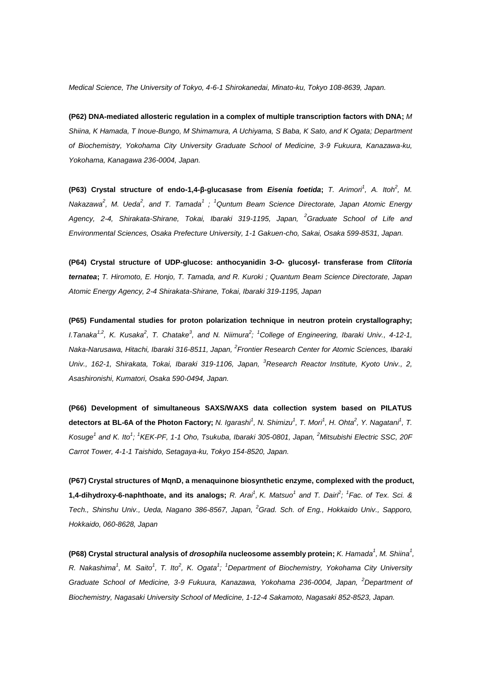*Medical Science, The University of Tokyo, 4-6-1 Shirokanedai, Minato-ku, Tokyo 108-8639, Japan.*

**(P62) DNA-mediated allosteric regulation in a complex of multiple transcription factors with DNA;** *M Shiina, K Hamada, T Inoue-Bungo, M Shimamura, A Uchiyama, S Baba, K Sato, and K Ogata; Department of Biochemistry, Yokohama City University Graduate School of Medicine, 3-9 Fukuura, Kanazawa-ku, Yokohama, Kanagawa 236-0004, Japan.*

**(P63) Crystal structure of endo-1,4-β-glucasase from** *Eisenia foetida***;** *T. Arimori<sup>1</sup>, A. Itoh<sup>2</sup>, M. Nakazawa<sup>2</sup> , M. Ueda<sup>2</sup> , and T. Tamada<sup>1</sup> ; <sup>1</sup>Quntum Beam Science Directorate, Japan Atomic Energy Agency, 2-4, Shirakata-Shirane, Tokai, Ibaraki 319-1195, Japan, <sup>2</sup>Graduate School of Life and Environmental Sciences, Osaka Prefecture University, 1-1 Gakuen-cho, Sakai, Osaka 599-8531, Japan.*

**(P64) Crystal structure of UDP-glucose: anthocyanidin 3-***O***- glucosyl- transferase from** *Clitoria ternatea***;** *T. Hiromoto, E. Honjo, T. Tamada, and R. Kuroki ; Quantum Beam Science Directorate, Japan Atomic Energy Agency, 2-4 Shirakata-Shirane, Tokai, Ibaraki 319-1195, Japan*

**(P65) Fundamental studies for proton polarization technique in neutron protein crystallography;**  *I.Tanaka<sup>1,2</sup>, K. Kusaka<sup>2</sup>, T. Chatake<sup>3</sup>, and N. Niimura<sup>2</sup>; <sup>1</sup>College of Engineering, Ibaraki Univ., 4-12-1,* Naka-Narusawa, Hitachi, Ibaraki 316-8511, Japan, <sup>2</sup> Frontier Research Center for Atomic Sciences, Ibaraki *Univ., 162-1, Shirakata, Tokai, Ibaraki 319-1106, Japan, <sup>3</sup>Research Reactor Institute, Kyoto Univ., 2, Asashironishi, Kumatori, Osaka 590-0494, Japan.*

**(P66) Development of simultaneous SAXS/WAXS data collection system based on PILATUS**  detectors at BL-6A of the Photon Factory; N. Igarashi<sup>1</sup>, N. Shimizu<sup>1</sup>, T. Mori<sup>1</sup>, H. Ohta<sup>2</sup>, Y. Nagatani<sup>1</sup>, T. *Kosuge<sup>1</sup> and K. Ito<sup>1</sup> ; 1 KEK-PF, 1-1 Oho, Tsukuba, Ibaraki 305-0801, Japan, <sup>2</sup>Mitsubishi Electric SSC, 20F Carrot Tower, 4-1-1 Taishido, Setagaya-ku, Tokyo 154-8520, Japan.*

**(P67) Crystal structures of MqnD, a menaquinone biosynthetic enzyme, complexed with the product,**  1,4-dihydroxy-6-naphthoate, and its analogs; R. Arai<sup>1</sup>, K. Matsuo<sup>1</sup> and T. Dairi<sup>2</sup>; <sup>1</sup>Fac. of Tex. Sci. & *Tech., Shinshu Univ., Ueda, Nagano 386-8567, Japan, <sup>2</sup>Grad. Sch. of Eng., Hokkaido Univ., Sapporo, Hokkaido, 060-8628, Japan*

**(P68) Crystal structural analysis of** *drosophila* **nucleosome assembly protein;** *K. Hamada<sup>1</sup> , M. Shiina<sup>1</sup> , R. Nakashima<sup>1</sup> , M. Saito<sup>1</sup> , T. Ito<sup>2</sup> , K. Ogata<sup>1</sup> ; <sup>1</sup>Department of Biochemistry, Yokohama City University Graduate School of Medicine, 3-9 Fukuura, Kanazawa, Yokohama 236-0004, Japan, <sup>2</sup>Department of Biochemistry, Nagasaki University School of Medicine, 1-12-4 Sakamoto, Nagasaki 852-8523, Japan.*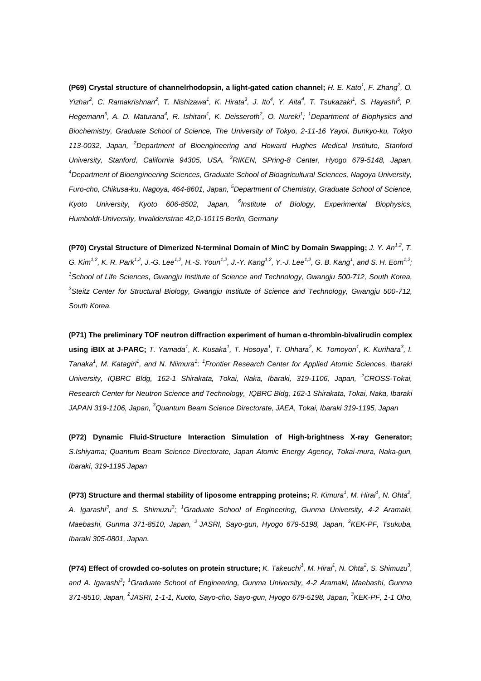**(P69) Crystal structure of channelrhodopsin, a light-gated cation channel;** *H. E. Kato<sup>1</sup>, F. Zhang***<sup>2</sup>, O.** Yizhar<sup>2</sup>, C. Ramakrishnan<sup>2</sup>, T. Nishizawa<sup>1</sup>, K. Hirata<sup>3</sup>, J. Ito<sup>4</sup>, Y. Aita<sup>4</sup>, T. Tsukazaki<sup>1</sup>, S. Hayashi<sup>5</sup>, P. *Hegemann*<sup>6</sup>, A. D. Maturana<sup>4</sup>, R. Ishitani<sup>1</sup>, K. Deisseroth<sup>2</sup>, O. Nureki<sup>1</sup>; <sup>1</sup>Department of Biophysics and *Biochemistry, Graduate School of Science, The University of Tokyo, 2-11-16 Yayoi, Bunkyo-ku, Tokyo 113-0032, Japan, <sup>2</sup>Department of Bioengineering and Howard Hughes Medical Institute, Stanford University, Stanford, California 94305, USA, <sup>3</sup>RIKEN, SPring-8 Center, Hyogo 679-5148, Japan, <sup>4</sup>Department of Bioengineering Sciences, Graduate School of Bioagricultural Sciences, Nagoya University, Furo-cho, Chikusa-ku, Nagoya, 464-8601, Japan, <sup>5</sup>Department of Chemistry, Graduate School of Science,*  Kyoto University, Kyoto 606-8502, Japan, <sup>6</sup>Institute of Biology, Experimental Biophysics, *Humboldt-University, Invalidenstrae 42,D-10115 Berlin, Germany*

**(P70) Crystal Structure of Dimerized N-terminal Domain of MinC by Domain Swapping;** *J. Y. An1,2 , T.* G. Kim<sup>1,2</sup>, K. R. Park<sup>1,2</sup>, J.-G. Lee<sup>1,2</sup>, H.-S. Youn<sup>1,2</sup>, J.-Y. Kang<sup>1,2</sup>, Y.-J. Lee<sup>1,2</sup>, G. B. Kang<sup>1</sup>, and S. H. Eom<sup>1,2</sup>; *1 School of Life Sciences, Gwangju Institute of Science and Technology, Gwangju 500-712, South Korea, 2 Steitz Center for Structural Biology, Gwangju Institute of Science and Technology, Gwangju 500-712, South Korea.*

**(P71) The preliminary TOF neutron diffraction experiment of human α-thrombin-bivalirudin complex**  using iBIX at J-PARC; T. Yamada<sup>1</sup>, K. Kusaka<sup>1</sup>, T. Hosoya<sup>1</sup>, T. Ohhara<sup>2</sup>, K. Tomoyori<sup>1</sup>, K. Kurihara<sup>3</sup>, I. *Tanaka<sup>1</sup>*, *M. Katagiri<sup>1</sup>, and N. Niimura<sup>1</sup>: <sup>1</sup> Frontier Research Center for Applied Atomic Sciences, Ibaraki University, IQBRC Bldg, 162-1 Shirakata, Tokai, Naka, Ibaraki, 319-1106, Japan, <sup>2</sup>CROSS-Tokai, Research Center for Neutron Science and Technology, IQBRC Bldg, 162-1 Shirakata, Tokai, Naka, Ibaraki JAPAN 319-1106, Japan, <sup>3</sup>Quantum Beam Science Directorate, JAEA, Tokai, Ibaraki 319-1195, Japan*

**(P72) Dynamic Fluid-Structure Interaction Simulation of High-brightness X-ray Generator;**  *S.Ishiyama; Quantum Beam Science Directorate, Japan Atomic Energy Agency, Tokai-mura, Naka-gun, Ibaraki, 319-1195 Japan*

**(P73) Structure and thermal stability of liposome entrapping proteins;** *R. Kimura<sup>1</sup> , M. Hirai<sup>1</sup> , N. Ohta<sup>2</sup> , A. Igarashi<sup>3</sup> , and S. Shimuzu<sup>3</sup> ; <sup>1</sup>Graduate School of Engineering, Gunma University, 4-2 Aramaki, Maebashi, Gunma 371-8510, Japan, <sup>2</sup>JASRI, Sayo-gun, Hyogo 679-5198, Japan, 3 KEK-PF, Tsukuba, Ibaraki 305-0801, Japan.*

**(P74) Effect of crowded co-solutes on protein structure;** *K. Takeuchi<sup>1</sup> , M. Hirai<sup>1</sup> , N. Ohta<sup>2</sup> , S. Shimuzu<sup>3</sup> , and A. Igarashi<sup>3</sup> ; <sup>1</sup>Graduate School of Engineering, Gunma University, 4-2 Aramaki, Maebashi, Gunma 371-8510, Japan, <sup>2</sup> JASRI, 1-1-1, Kuoto, Sayo-cho, Sayo-gun, Hyogo 679-5198, Japan, 3 KEK-PF, 1-1 Oho,*